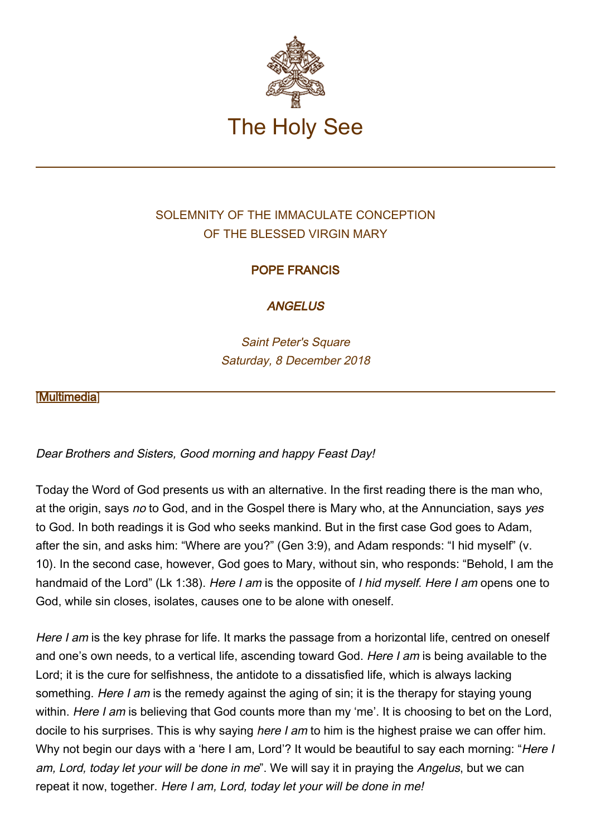

# SOLEMNITY OF THE IMMACULATE CONCEPTION OF THE BLESSED VIRGIN MARY

## POPE FRANCIS

**ANGELUS** 

Saint Peter's Square Saturday, 8 December 2018

### **IMultimedial**

Dear Brothers and Sisters, Good morning and happy Feast Day!

Today the Word of God presents us with an alternative. In the first reading there is the man who, at the origin, says no to God, and in the Gospel there is Mary who, at the Annunciation, says yes to God. In both readings it is God who seeks mankind. But in the first case God goes to Adam, after the sin, and asks him: "Where are you?" (Gen 3:9), and Adam responds: "I hid myself" (v. 10). In the second case, however, God goes to Mary, without sin, who responds: "Behold, I am the handmaid of the Lord" (Lk 1:38). Here I am is the opposite of I hid myself. Here I am opens one to God, while sin closes, isolates, causes one to be alone with oneself.

Here I am is the key phrase for life. It marks the passage from a horizontal life, centred on oneself and one's own needs, to a vertical life, ascending toward God. Here I am is being available to the Lord; it is the cure for selfishness, the antidote to a dissatisfied life, which is always lacking something. Here I am is the remedy against the aging of sin; it is the therapy for staying young within. Here I am is believing that God counts more than my 'me'. It is choosing to bet on the Lord, docile to his surprises. This is why saying *here I am* to him is the highest praise we can offer him. Why not begin our days with a 'here I am, Lord'? It would be beautiful to say each morning: "Here I am, Lord, today let your will be done in me". We will say it in praying the Angelus, but we can repeat it now, together. Here I am, Lord, today let your will be done in me!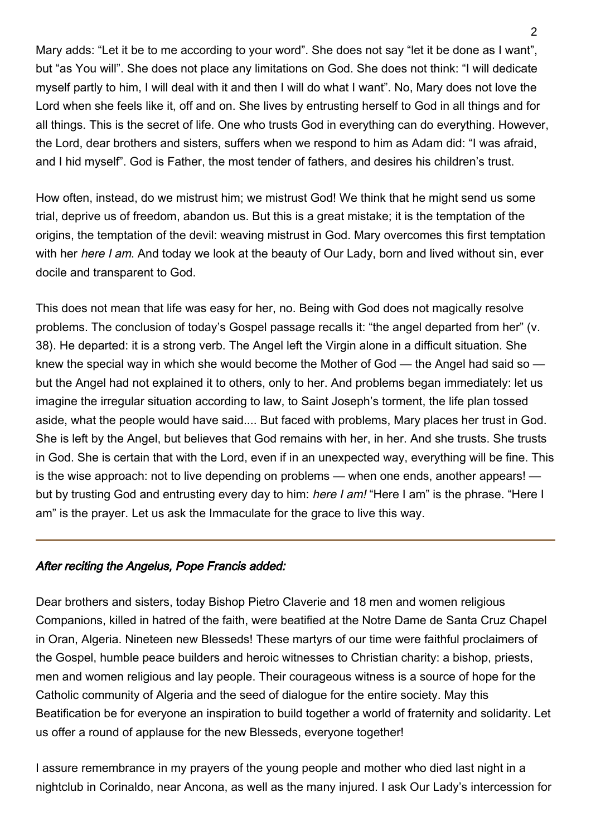Mary adds: "Let it be to me according to your word". She does not say "let it be done as I want", but "as You will". She does not place any limitations on God. She does not think: "I will dedicate myself partly to him, I will deal with it and then I will do what I want". No, Mary does not love the Lord when she feels like it, off and on. She lives by entrusting herself to God in all things and for all things. This is the secret of life. One who trusts God in everything can do everything. However, the Lord, dear brothers and sisters, suffers when we respond to him as Adam did: "I was afraid, and I hid myself". God is Father, the most tender of fathers, and desires his children's trust.

How often, instead, do we mistrust him; we mistrust God! We think that he might send us some trial, deprive us of freedom, abandon us. But this is a great mistake; it is the temptation of the origins, the temptation of the devil: weaving mistrust in God. Mary overcomes this first temptation with her here I am. And today we look at the beauty of Our Lady, born and lived without sin, ever docile and transparent to God.

This does not mean that life was easy for her, no. Being with God does not magically resolve problems. The conclusion of today's Gospel passage recalls it: "the angel departed from her" (v. 38). He departed: it is a strong verb. The Angel left the Virgin alone in a difficult situation. She knew the special way in which she would become the Mother of God — the Angel had said so but the Angel had not explained it to others, only to her. And problems began immediately: let us imagine the irregular situation according to law, to Saint Joseph's torment, the life plan tossed aside, what the people would have said.... But faced with problems, Mary places her trust in God. She is left by the Angel, but believes that God remains with her, in her. And she trusts. She trusts in God. She is certain that with the Lord, even if in an unexpected way, everything will be fine. This is the wise approach: not to live depending on problems — when one ends, another appears! but by trusting God and entrusting every day to him: here I am! "Here I am" is the phrase. "Here I am" is the prayer. Let us ask the Immaculate for the grace to live this way.

#### After reciting the Angelus, Pope Francis added:

Dear brothers and sisters, today Bishop Pietro Claverie and 18 men and women religious Companions, killed in hatred of the faith, were beatified at the Notre Dame de Santa Cruz Chapel in Oran, Algeria. Nineteen new Blesseds! These martyrs of our time were faithful proclaimers of the Gospel, humble peace builders and heroic witnesses to Christian charity: a bishop, priests, men and women religious and lay people. Their courageous witness is a source of hope for the Catholic community of Algeria and the seed of dialogue for the entire society. May this Beatification be for everyone an inspiration to build together a world of fraternity and solidarity. Let us offer a round of applause for the new Blesseds, everyone together!

I assure remembrance in my prayers of the young people and mother who died last night in a nightclub in Corinaldo, near Ancona, as well as the many injured. I ask Our Lady's intercession for